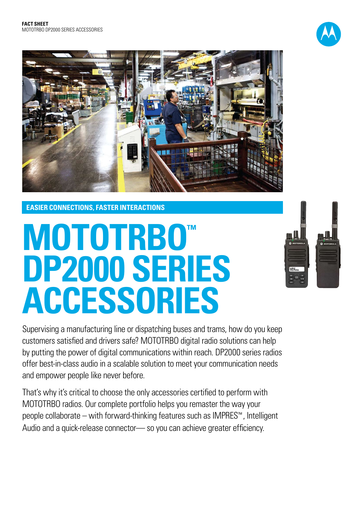



**EASIER CONNECTIONS, FASTER INTERACTIONS**

# **mototrbo™ DP2000 SERIES ACCESSORIES**

Supervising a manufacturing line or dispatching buses and trams, how do you keep customers satisfied and drivers safe? MOTOTRBO digital radio solutions can help by putting the power of digital communications within reach. DP2000 series radios offer best-in-class audio in a scalable solution to meet your communication needs and empower people like never before.

That's why it's critical to choose the only accessories certified to perform with MOTOTRBO radios. Our complete portfolio helps you remaster the way your people collaborate – with forward-thinking features such as IMPRES™ , Intelligent Audio and a quick-release connector— so you can achieve greater efficiency.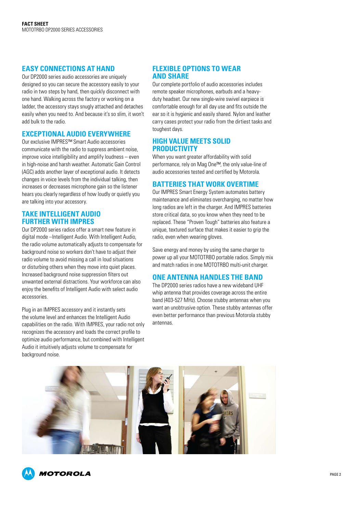#### **EASY CONNECTIONS AT HAND**

Our DP2000 series audio accessories are uniquely designed so you can secure the accessory easily to your radio in two steps by hand, then quickly disconnect with one hand. Walking across the factory or working on a ladder, the accessory stays snugly attached and detaches easily when you need to. And because it's so slim, it won't add bulk to the radio.

#### **EXCEPTIONAL AUDIO EVERYWHERE**

Our exclusive IMPRES™ Smart Audio accessories communicate with the radio to suppress ambient noise, improve voice intelligibility and amplify loudness – even in high-noise and harsh weather. Automatic Gain Control (AGC) adds another layer of exceptional audio. It detects changes in voice levels from the individual talking, then increases or decreases microphone gain so the listener hears you clearly regardless of how loudly or quietly you are talking into your accessory.

#### **TAKE INTELLIGENT AUDIO FURTHER WITH IMPRES**

Our DP2000 series radios offer a smart new feature in digital mode –Intelligent Audio. With Intelligent Audio, the radio volume automatically adjusts to compensate for background noise so workers don't have to adjust their radio volume to avoid missing a call in loud situations or disturbing others when they move into quiet places. Increased background noise suppression filters out unwanted external distractions. Your workforce can also enjoy the benefits of Intelligent Audio with select audio accessories.

Plug in an IMPRES accessory and it instantly sets the volume level and enhances the Intelligent Audio capabilities on the radio. With IMPRES, your radio not only recognizes the accessory and loads the correct profile to optimize audio performance, but combined with Intelligent Audio it intuitively adjusts volume to compensate for background noise.

#### **FLEXIBLE OPTIONS TO WEAR AND SHARE**

Our complete portfolio of audio accessories includes remote speaker microphones, earbuds and a heavyduty headset. Our new single-wire swivel earpiece is comfortable enough for all day use and fits outside the ear so it is hygienic and easily shared. Nylon and leather carry cases protect your radio from the dirtiest tasks and toughest days.

#### **HIGH VALUE MEETS SOLID PRODUCTIVITY**

When you want greater affordability with solid performance, rely on Mag One™, the only value-line of audio accessories tested and certified by Motorola.

#### **BATTERIES THAT WORK OVERTIME**

Our IMPRES Smart Energy System automates battery maintenance and eliminates overcharging, no matter how long radios are left in the charger. And IMPRES batteries store critical data, so you know when they need to be replaced. These "Proven Tough" batteries also feature a unique, textured surface that makes it easier to grip the radio, even when wearing gloves.

Save energy and money by using the same charger to power up all your MOTOTRBO portable radios. Simply mix and match radios in one MOTOTRBO multi-unit charger.

#### **ONE ANTENNA HANDLES THE BAND**

The DP2000 series radios have a new wideband UHF whip antenna that provides coverage across the entire band (403-527 MHz). Choose stubby antennas when you want an unobtrusive option. These stubby antennas offer even better performance than previous Motorola stubby antennas.



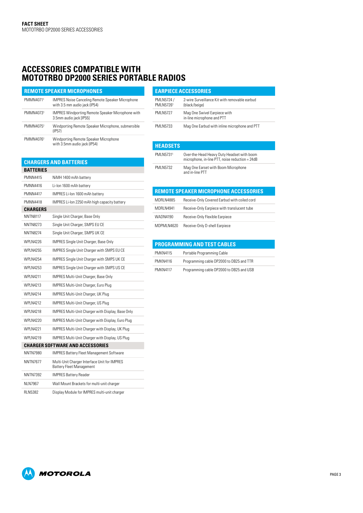### **ACCESSORIES COMPATIBLE WITH MOTOTRBO DP2000 SERIES PORTABLE RADIOS**

| <b>REMOTE SPEAKER MICROPHONES</b> |                                                                                          |
|-----------------------------------|------------------------------------------------------------------------------------------|
| PMMN40711                         | <b>IMPRES Noise Canceling Remote Speaker Microphone</b><br>with 3.5 mm audio jack (IP54) |
| PMMN40731                         | <b>IMPRES Windporting Remote Speaker Microphone with</b><br>3.5mm audio jack [IP55]      |
| PMMN40751                         | Windporting Remote Speaker Microphone, submersible<br>(IP57)                             |
| PMMN40761                         | Windporting Remote Speaker Microphone<br>with 3.5mm audio jack (IP54)                    |

#### **Chargers and Batteries**

| BATTERIES        |                                                                                 |
|------------------|---------------------------------------------------------------------------------|
| <b>PMNN4415</b>  | NiMH 1400 mAh battery                                                           |
| PMNN4416         | Li-lon 1600 mAh battery                                                         |
| <b>PMNN4417</b>  | IMPRES Li-Ion 1600 mAh battery                                                  |
| <b>PMNN4418</b>  | IMPRES Li-lon 2250 mAh high capacity battery                                    |
| CHARGERS         |                                                                                 |
| <b>NNTN8117</b>  | Single Unit Charger, Base Only                                                  |
| NNTN8273         | Single Unit Charger, SMPS EU CE                                                 |
| NNTN8274         | Single Unit Charger, SMPS UK CE                                                 |
| <b>WPI N4226</b> | <b>IMPRES Single Unit Charger, Base Only</b>                                    |
| <b>WPI N4255</b> | <b>IMPRES Single Unit Charger with SMPS EU CE</b>                               |
| <b>WPI N4254</b> | <b>IMPRES Single Unit Charger with SMPS UK CE</b>                               |
| WPI N4253        | <b>IMPRES Single Unit Charger with SMPS US CE</b>                               |
| <b>WPI N4211</b> | <b>IMPRES Multi-Unit Charger, Base Only</b>                                     |
| WPI N4213        | IMPRES Multi-Unit Charger, Euro Plug                                            |
| <b>WPI N4214</b> | IMPRES Multi-Unit Charger, UK Plug                                              |
| <b>WPI N4212</b> | <b>IMPRES Multi-Unit Charger, US Plug</b>                                       |
| <b>WPI N4218</b> | IMPRES Multi-Unit Charger with Display, Base Only                               |
| WPI N4220        | IMPRES Multi-Unit Charger with Display, Euro Plug                               |
| <b>WPI N4221</b> | IMPRES Multi-Unit Charger with Display, UK Plug                                 |
| <b>WPI N4219</b> | IMPRES Multi-Unit Charger with Display, US Plug                                 |
|                  | <b>CHARGER SOFTWARE AND ACCESSORIES</b>                                         |
| NNTN7980         | <b>IMPRES Battery Fleet Management Software</b>                                 |
| NNTN7677         | Multi-Unit Charger Interface Unit for IMPRES<br><b>Battery Fleet Management</b> |
| NNTN7392         | <b>IMPRES Battery Reader</b>                                                    |
| NI N7967         | Wall Mount Brackets for multi-unit charger                                      |
| RI N5382         | Display Module for IMPRES multi-unit charger                                    |

|                          | <b>EARPIECE ACCESSORIES</b>                                    |  |
|--------------------------|----------------------------------------------------------------|--|
| PMLN5724 /<br>PMI N57261 | 2-wire Surveillance Kit with removable earbud<br>(black/beige) |  |
| <b>PMI N5727</b>         | Mag One Swivel Earpiece with<br>in-line microphone and PTT     |  |
| <b>PMLN5733</b>          | Mag One Earbud with inline microphone and PTT                  |  |

#### **Headsets**

| .                |                                                                                               |
|------------------|-----------------------------------------------------------------------------------------------|
| PMI N57311       | Over-the-Head Heavy Duty Headset with boom<br>microphone, in-line PTT, noise reduction = 24dB |
| <b>PMI N5732</b> | Mag One Earset with Boom Microphone<br>and in-line PTT                                        |

## **Remote Speaker Microphone Accessories**

| MDRLN4885         | Receive-Only Covered Earbud with coiled cord |
|-------------------|----------------------------------------------|
| <b>MDRI N4941</b> | Receive-Only Earpiece with translucent tube  |
| WADN4190          | Receive-Only Flexible Earpiece               |
| MDPMI N4620       | Receive-Only D-shell Earpiece                |

#### **Programming and Test Cables**

| <b>PMKN4115</b> | Portable Programming Cable               |
|-----------------|------------------------------------------|
| <b>PMKN4116</b> | Programming cable DP2000 to DB25 and TTR |
| <b>PMKN4117</b> | Programming cable DP2000 to DB25 and USB |